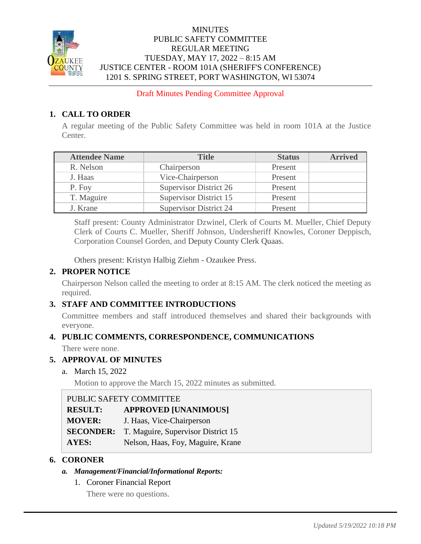

## **MINUTES** PUBLIC SAFETY COMMITTEE REGULAR MEETING TUESDAY, MAY 17, 2022 – 8:15 AM JUSTICE CENTER - ROOM 101A (SHERIFF'S CONFERENCE) 1201 S. SPRING STREET, PORT WASHINGTON, WI 53074

Draft Minutes Pending Committee Approval

# **1. CALL TO ORDER**

A regular meeting of the Public Safety Committee was held in room 101A at the Justice Center.

| <b>Attendee Name</b> | <b>Title</b>                  | <b>Status</b> | <b>Arrived</b> |
|----------------------|-------------------------------|---------------|----------------|
| R. Nelson            | Chairperson                   | Present       |                |
| J. Haas              | Vice-Chairperson              | Present       |                |
| P. Foy               | <b>Supervisor District 26</b> | Present       |                |
| T. Maguire           | Supervisor District 15        | Present       |                |
| J. Krane             | Supervisor District 24        | Present       |                |

Staff present: County Administrator Dzwinel, Clerk of Courts M. Mueller, Chief Deputy Clerk of Courts C. Mueller, Sheriff Johnson, Undersheriff Knowles, Coroner Deppisch, Corporation Counsel Gorden, and Deputy County Clerk Quaas.

Others present: Kristyn Halbig Ziehm - Ozaukee Press.

# **2. PROPER NOTICE**

Chairperson Nelson called the meeting to order at 8:15 AM. The clerk noticed the meeting as required.

# **3. STAFF AND COMMITTEE INTRODUCTIONS**

Committee members and staff introduced themselves and shared their backgrounds with everyone.

# **4. PUBLIC COMMENTS, CORRESPONDENCE, COMMUNICATIONS**

There were none.

## **5. APPROVAL OF MINUTES**

a. March 15, 2022

Motion to approve the March 15, 2022 minutes as submitted.

| PUBLIC SAFETY COMMITTEE |                                    |  |
|-------------------------|------------------------------------|--|
| <b>RESULT:</b>          | <b>APPROVED [UNANIMOUS]</b>        |  |
| <b>MOVER:</b>           | J. Haas, Vice-Chairperson          |  |
| <b>SECONDER:</b>        | T. Maguire, Supervisor District 15 |  |
| AYES:                   | Nelson, Haas, Foy, Maguire, Krane  |  |

## **6. CORONER**

- *a. Management/Financial/Informational Reports:*
	- 1. Coroner Financial Report

There were no questions.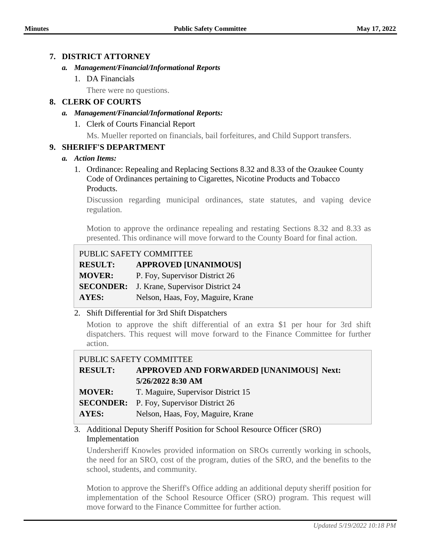## **7. DISTRICT ATTORNEY**

#### *a. Management/Financial/Informational Reports*

1. DA Financials

There were no questions.

## **8. CLERK OF COURTS**

#### *a. Management/Financial/Informational Reports:*

1. Clerk of Courts Financial Report

Ms. Mueller reported on financials, bail forfeitures, and Child Support transfers.

## **9. SHERIFF'S DEPARTMENT**

#### *a. Action Items:*

1. Ordinance: Repealing and Replacing Sections 8.32 and 8.33 of the Ozaukee County Code of Ordinances pertaining to Cigarettes, Nicotine Products and Tobacco Products.

Discussion regarding municipal ordinances, state statutes, and vaping device regulation.

Motion to approve the ordinance repealing and restating Sections 8.32 and 8.33 as presented. This ordinance will move forward to the County Board for final action.

## PUBLIC SAFETY COMMITTEE

| <b>RESULT:</b> | <b>APPROVED [UNANIMOUS]</b>    |
|----------------|--------------------------------|
| <b>MOVER:</b>  | P. Foy, Supervisor District 26 |

**SECONDER:** J. Krane, Supervisor District 24

AYES: Nelson, Haas, Foy, Maguire, Krane

## 2. Shift Differential for 3rd Shift Dispatchers

Motion to approve the shift differential of an extra \$1 per hour for 3rd shift dispatchers. This request will move forward to the Finance Committee for further action.

## PUBLIC SAFETY COMMITTEE

- **RESULT: APPROVED AND FORWARDED [UNANIMOUS] Next: 5/26/2022 8:30 AM**
- **MOVER:** T. Maguire, Supervisor District 15
- **SECONDER:** P. Foy, Supervisor District 26
- AYES: Nelson, Haas, Foy, Maguire, Krane

## 3. Additional Deputy Sheriff Position for School Resource Officer (SRO) Implementation

Undersheriff Knowles provided information on SROs currently working in schools, the need for an SRO, cost of the program, duties of the SRO, and the benefits to the school, students, and community.

Motion to approve the Sheriff's Office adding an additional deputy sheriff position for implementation of the School Resource Officer (SRO) program. This request will move forward to the Finance Committee for further action.